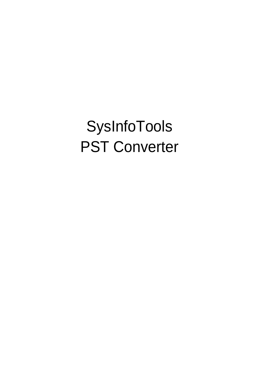SysInfoTools PST Converter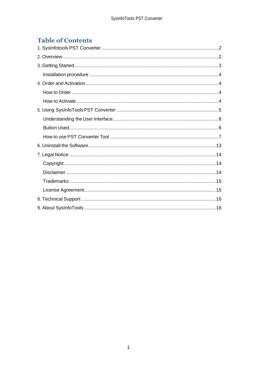# **Table of Contents**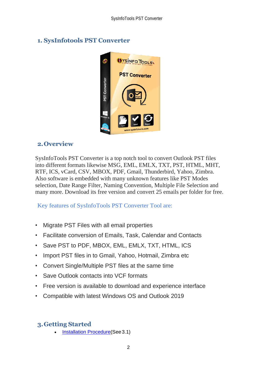# **OYSINFO TOOLS** ത **PST Converter PST Converter**

## <span id="page-2-0"></span>**1. SysInfotools PST Converter**

## <span id="page-2-1"></span>**2.Overview**

SysInfoTools PST Converter is a top notch tool to convert Outlook PST files into different formats likewise MSG, EML, EMLX, TXT, PST, HTML, MHT, RTF, ICS, vCard, CSV, MBOX, PDF, Gmail, Thunderbird, Yahoo, Zimbra. Also software is embedded with many unknown features like PST Modes selection, Date Range Filter, Naming Convention, Multiple File Selection and many more. Download its free version and convert 25 emails per folder for free.

Key features of SysInfoTools PST Converter Tool are:

- Migrate PST Files with all email properties
- Facilitate conversion of Emails, Task, Calendar and Contacts
- Save PST to PDF, MBOX, EML, EMLX, TXT, HTML, ICS
- Import PST files in to Gmail, Yahoo, Hotmail, Zimbra etc
- Convert Single/Multiple PST files at the same time
- Save Outlook contacts into VCF formats
- Free version is available to download and experience interface
- Compatible with latest Windows OS and Outlook 2019

# <span id="page-2-2"></span>**3.Getting Started**

Installation Procedure (See 3.1)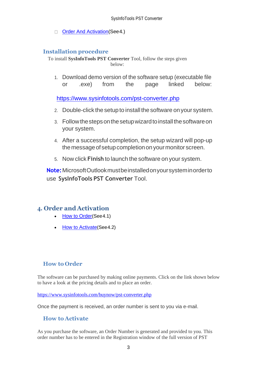[Order And Activation\(](#page-3-1)See4.)  $\Box$ 

#### <span id="page-3-0"></span>**Installation procedure**

To install **SysInfoTools PST Converter** Tool, follow the steps given below:

1. Download demo version of the software setup (executable file or .exe) from the page linked below:

<https://www.sysinfotools.com/pst-converter.php>

- 2. Double-click the setup to install the software onyour system.
- 3. Follow the steps on the setup wizard to install the software on your system.
- 4. After a successful completion, the setup wizard will pop-up the message of setup completion on your monitor screen.
- 5. Now click **Finish** to launch the software on your system.

**Note:**MicrosoftOutlookmustbeinstalledonyoursysteminorderto use **SysInfoTools PST Converter** Tool.

## <span id="page-3-1"></span>**4. Order and Activation**

- [How to Order](#page-3-2)(See4.1)
- **[How to Activate](#page-3-3) (See 4.2)**

## <span id="page-3-2"></span>**How to Order**

The software can be purchased by making online payments. Click on the link shown below to have a look at the pricing details and to place an order.

<https://www.sysinfotools.com/buynow/pst-converter.php>

Once the payment is received, an order number is sent to you via e-mail.

## <span id="page-3-3"></span>**How to Activate**

As you purchase the software, an Order Number is generated and provided to you. This order number has to be entered in the Registration window of the full version of PST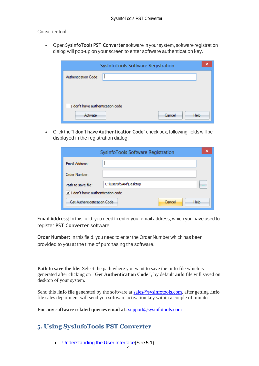Converter tool.

• Open **SysInfoTools PST Converter** software in your system, software registration dialog will pop-up on your screen to enter software authentication key.

| SysInfoTools Software Registration | × |
|------------------------------------|---|
| Authentication Code:               |   |
|                                    |   |
|                                    |   |
| I don't have authentication code   |   |
| Cancel<br>Activate<br><b>Help</b>  |   |

• Click the **"I don't have Authentication Code"** check box, following fields will be displayed in the registration dialog:

| SysInfoTools Software Registration |                      |                      |  |  |
|------------------------------------|----------------------|----------------------|--|--|
| Email Address:                     |                      |                      |  |  |
| Order Number:                      |                      |                      |  |  |
| Path to save file:                 | C:\Users\SAM\Desktop | $\sim$ $\sim$ $\sim$ |  |  |
| I don't have authentication code   |                      |                      |  |  |
| Get Authenticatication Code        | Help<br>Cancel       |                      |  |  |

**Email Address:** In this field, you need to enter your email address, which you have used to register **PST Converter** software.

**Order Number:** In this field, you need to enter the Order Number which has been provided to you at the time of purchasing the software.

**Path to save the file:** Select the path where you want to save the .info file which is generated after clicking on **"Get Authentication Code"**, by default **.info** file will saved on desktop of your system.

Send this **.info file** generated by the software at [sales@sysinfotools.com,](mailto:sales@sysinfotools.com) after getting **.info** file sales department will send you software activation key within a couple of minutes.

**For any software related queries email at:** [support@sysinfotools.com](mailto:support@sysinfotools.com)

# <span id="page-4-0"></span>**5. Using SysInfoTools PST Converter**

[Understanding](#page-5-0) the User Interface (See 5.1)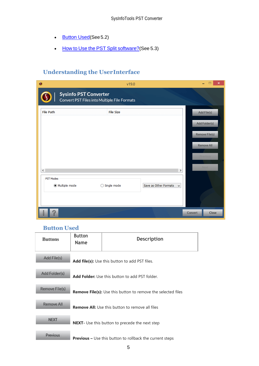- [Button Used](#page-5-1)(See 5.2)
- How to Use the PST Split [software?](#page-6-0)(See 5.3)

# <span id="page-5-0"></span>**Understanding the UserInterface**

| $\bullet$                |                              | v19.0                                        |                                       | ×                |
|--------------------------|------------------------------|----------------------------------------------|---------------------------------------|------------------|
|                          | <b>Sysinfo PST Converter</b> | Convert PST Files into Multiple File Formats |                                       |                  |
| <b>File Path</b>         |                              | <b>File Size</b>                             |                                       | Add File(s)      |
|                          |                              |                                              |                                       | Add Folder(s)    |
|                          |                              |                                              |                                       | Remove File(s)   |
|                          |                              |                                              |                                       | Remove All       |
|                          |                              |                                              |                                       | <b>Previous</b>  |
| $\overline{\phantom{a}}$ |                              |                                              | $\,$                                  | Next             |
| PST Modes                |                              |                                              |                                       |                  |
|                          | ◉ Multiple mode              | $\bigcirc$ Single mode                       | Save as Other Formats<br>$\checkmark$ |                  |
|                          |                              |                                              |                                       |                  |
|                          |                              |                                              |                                       |                  |
| ?                        |                              |                                              |                                       | Close<br>Convert |

#### <span id="page-5-1"></span>**Button Used**

| <b>Buttons</b> | <b>Button</b><br><b>Name</b>                                        | <b>Description</b>                                              |  |
|----------------|---------------------------------------------------------------------|-----------------------------------------------------------------|--|
| Add File(s)    |                                                                     | <b>Add file(s):</b> Use this button to add PST files.           |  |
| Add Folder(s)  | <b>Add Folder:</b> Use this button to add PST folder.               |                                                                 |  |
| Remove File(s) | <b>Remove File(s):</b> Use this button to remove the selected files |                                                                 |  |
| Remove All     | <b>Remove All:</b> Use this button to remove all files              |                                                                 |  |
| <b>NEXT</b>    |                                                                     | <b>NEXT</b> - Use this button to precede the next step          |  |
| Previous       |                                                                     | <b>Previous –</b> Use this button to rollback the current steps |  |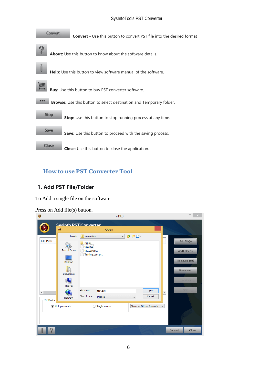#### SysInfoTools PST Converter



## <span id="page-6-0"></span>**How to use PST Converter Tool**

## **1. Add PST File/Folder**

To Add a single file on the software

Press on Add file(s) button.

| $\bullet$                                |                                                                                                       |                                                                                                    |                                                       | v19.0                               |                                         |                               | $\Box$ $\times$                                                                                |
|------------------------------------------|-------------------------------------------------------------------------------------------------------|----------------------------------------------------------------------------------------------------|-------------------------------------------------------|-------------------------------------|-----------------------------------------|-------------------------------|------------------------------------------------------------------------------------------------|
|                                          | Svsinfo PST Converter<br>$\bullet$                                                                    |                                                                                                    | Open                                                  |                                     | $\pmb{\times}$                          |                               |                                                                                                |
| <b>File Path</b><br>$\zeta$<br>PST Modes | Look in:<br><b>Recent Items</b><br>Desktop<br><b>Documents</b><br>This PC<br>Network<br>Multiple mode | demo-files<br>mbox<br>test.pst<br>testcase.pst<br>Testing.pst4.pst<br>File name:<br>Files of type: | test.pst<br><b>Pst File</b><br>$\bigcirc$ Single mode | 少的田<br>$\checkmark$<br>$\checkmark$ | Open<br>Cancel<br>Save as Other Formats | $\rightarrow$<br>$\checkmark$ | Add File(s)<br>Add Folder(s)<br><b>Remove File(s)</b><br>Remove All<br><b>Previous</b><br>Next |
|                                          |                                                                                                       |                                                                                                    |                                                       |                                     |                                         |                               |                                                                                                |
| $\mathcal{D}$                            |                                                                                                       |                                                                                                    |                                                       |                                     |                                         | Convert                       | Close                                                                                          |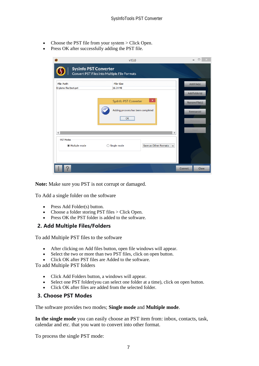- Choose the PST file from your system > Click Open.
- Press OK after successfully adding the PST file.

|                                            | v19.0                                                                        |                       |
|--------------------------------------------|------------------------------------------------------------------------------|-----------------------|
|                                            | <b>Sysinfo PST Converter</b><br>Convert PST Files into Multiple File Formats |                       |
| <b>File Path</b><br>E:\demo-files\test.pst | <b>File Size</b><br>16.24 MB                                                 | Add File(s)           |
|                                            |                                                                              | Add Folder(s)         |
|                                            | ×<br>SysInfo PST Converter                                                   | <b>Remove File(s)</b> |
|                                            | Adding prcocess has been completed                                           | Remove All            |
|                                            | OK                                                                           | <b>Previous</b>       |
| ∢                                          | $\,$                                                                         | Next                  |
| <b>PST Modes</b>                           |                                                                              |                       |
| Multiple mode                              | Save as Other Formats<br>Single mode<br>⊖<br>$\checkmark$                    |                       |
|                                            |                                                                              |                       |
| P                                          |                                                                              | Close<br>Convert      |

**Note:** Make sure you PST is not corrupt or damaged.

To Add a single folder on the software

- Press Add Folder(s) button.
- Choose a folder storing PST files > Click Open.
- Press OK the PST folder is added to the software.

#### **2. Add Multiple Files/Folders**

To add Multiple PST files to the software

- After clicking on Add files button, open file windows will appear.
- Select the two or more than two PST files, click on open button.
- Click OK after PST files are Added to the software.

To add Multiple PST folders

- Click Add Folders button, a windows will appear.
- Select one PST folder(you can select one folder at a time), click on open button.
- Click OK after files are added from the selected folder.

#### **3. Choose PST Modes**

The software provides two modes; **Single mode** and **Multiple mode**.

**In the single mode** you can easily choose an PST item from: inbox, contacts, task, calendar and etc. that you want to convert into other format.

To process the single PST mode: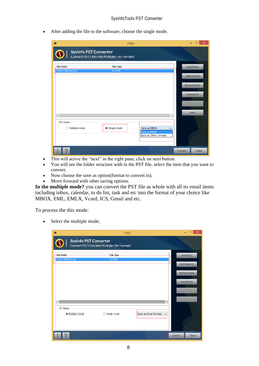• After adding the file to the software, choose the single mode.

|                  |                                             | □<br>$\boldsymbol{\mathsf{x}}$                                                                                 |
|------------------|---------------------------------------------|----------------------------------------------------------------------------------------------------------------|
|                  |                                             |                                                                                                                |
| <b>File Size</b> |                                             | Add File(s)                                                                                                    |
| 16.24 MB         |                                             |                                                                                                                |
|                  |                                             | Add Folder(s)                                                                                                  |
|                  |                                             |                                                                                                                |
|                  |                                             | <b>Remove File(s)</b>                                                                                          |
|                  |                                             |                                                                                                                |
|                  |                                             | Remove All                                                                                                     |
|                  |                                             |                                                                                                                |
|                  |                                             | Previous                                                                                                       |
|                  |                                             |                                                                                                                |
|                  | $\rightarrow$                               | Next                                                                                                           |
|                  |                                             |                                                                                                                |
|                  |                                             |                                                                                                                |
|                  | v                                           |                                                                                                                |
|                  |                                             |                                                                                                                |
|                  |                                             |                                                                                                                |
|                  |                                             |                                                                                                                |
|                  |                                             | Close<br>Convert                                                                                               |
|                  | <b>Sysinfo PST Converter</b><br>Single mode | v19.0<br>Convert PST Files into Multiple File Formats<br>Save as MBOX<br>Save as MBOX<br>Save as Other Formats |

- This will active the "next" in the right pane, click on next button.
- You will see the folder structure with in the PST file, select the item that you want to convert.
- Now choose the save as option(format to convert in).
- Move forward with other saving options.

**In the multiple mode?** you can convert the PST file as whole with all its email items including inbox, calendar, to do list, task and etc into the format of your choice like MBOX, EML, EMLX, Vcard, ICS, Gmail and etc.

To process the this mode:

• Select the multiple mode;

| $\ddot{\bullet}$                                                        |                                                                              | v19.0 |                       |      | ×                                                                                |
|-------------------------------------------------------------------------|------------------------------------------------------------------------------|-------|-----------------------|------|----------------------------------------------------------------------------------|
|                                                                         | <b>Sysinfo PST Converter</b><br>Convert PST Files into Multiple File Formats |       |                       |      |                                                                                  |
| <b>File Path</b><br>E:\demo-files\test.pst<br>$\,<$<br><b>PST Modes</b> | <b>File Size</b><br>16, 24 MB<br>Multiple mode<br>$\bigcirc$ Single mode     |       | Save as Other Formats | $\,$ | Add File(s)<br>Add Folder(s)<br>Remove File(s)<br>Remove All<br>Previous<br>Next |
| $\mathcal{P}$                                                           |                                                                              |       |                       |      | Close<br>Convert                                                                 |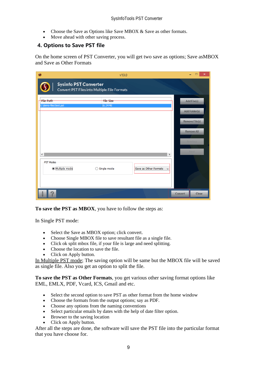- Choose the Save as Options like Save MBOX & Save as other formats.
- Move ahead with other saving process.

#### **4. Options to Save PST file**

On the home screen of PST Converter, you will get two save as options; Save asMBOX and Save as Other Formats

| $\bullet$                                  | v19.0                                                                        |                       | ×                |
|--------------------------------------------|------------------------------------------------------------------------------|-----------------------|------------------|
|                                            | <b>Sysinfo PST Converter</b><br>Convert PST Files into Multiple File Formats |                       |                  |
| <b>File Path</b><br>E:\demo-files\test.pst | <b>File Size</b><br>16.24 MB                                                 |                       | Add File(s)      |
|                                            |                                                                              |                       | Add Folder(s)    |
|                                            |                                                                              |                       | Remove File(s)   |
|                                            |                                                                              |                       | Remove All       |
|                                            |                                                                              |                       | Previous         |
| $\,<$                                      |                                                                              | $\,$                  | Next             |
| <b>PST Modes</b><br>· Multiple mode        | $\bigcirc$ Single mode                                                       | Save as Other Formats |                  |
|                                            |                                                                              |                       |                  |
| $\mathcal{P}$                              |                                                                              |                       | Close<br>Convert |

**To save the PST as MBOX**, you have to follow the steps as:

In Single PST mode:

- Select the Save as MBOX option; click convert.
- Choose Single MBOX file to save resultant file as a single file.
- Click ok split mbox file, if your file is large and need splitting.
- Choose the location to save the file.
- Click on Apply button.

In Multiple PST mode; The saving option will be same but the MBOX file will be saved as single file. Also you get an option to split the file.

**To save the PST as Other Formats**, you get various other saving format options like EML, EMLX, PDF, Vcard, ICS, Gmail and etc.

- Select the second option to save PST as other format from the home window
- Choose the formats from the output options; say as PDF.
- Choose any options from the naming conventions
- Select particular emails by dates with the help of date filter option.
- Browser to the saving location
- Click on Apply button.

After all the steps are done, the software will save the PST file into the particular format that you have choose for.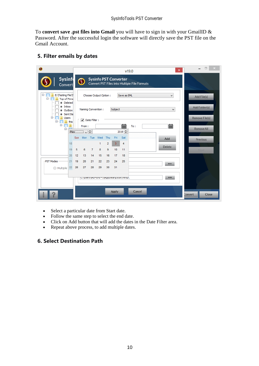To **convert save .pst files into Gmail** you will have to sign in with your GmailID & Password. After the successful login the software will directly save the PST file on the Gmail Account.

#### **5. Filter emails by dates**

| $\bullet$                                              | $\pmb{\times}$<br>v19.0                                                                                                    | $\qquad \qquad \Box$<br>$\mathsf{X}$ |
|--------------------------------------------------------|----------------------------------------------------------------------------------------------------------------------------|--------------------------------------|
| <b>Sysinf</b><br><b>Convert</b>                        | <b>Sysinfo PST Converter</b><br>$\mathbf \Omega$<br>Convert PST Files into Multiple File Formats                           |                                      |
| Ξ.<br>E: \Testing File \T<br>⊟…<br><b>Top of Perso</b> | Choose Output Option:<br>Save as EML<br>٧                                                                                  | Add File(s)                          |
| <b>Deleted</b><br>Inbox<br>Outbox<br>Sent Ite<br>Ė.    | Subject<br>Naming Convention:<br>$\checkmark$                                                                              | Add Folder(s)                        |
| <b>Users</b><br>Ė-<br>this<br>$\blacksquare$<br>A      | $\overline{\mathsf{v}}$ Date Filter :<br>篇<br>篇<br>From:<br>To:                                                            | Remove File(s)<br>Remove All         |
| 18                                                     | May J V +<br>$2019 \div$<br>Mon Tue<br>Wed<br>Fri<br>Sat<br>Sun.<br>Thu<br>Add<br>$\overline{2}$<br>3<br>$\mathbf{1}$<br>4 | Previous                             |
| 19                                                     | Delete<br>6<br>9<br>10<br>5<br>$\overline{7}$<br>8<br>11                                                                   | Next                                 |
| 20<br>-PST Modes<br>21                                 | 12<br>13<br>14<br>15<br>17<br>16<br>18<br>21<br>22<br>23<br>24<br>25<br>19<br>20<br>                                       |                                      |
| 22<br>◯ Multiple                                       | 27<br>28<br>29<br>30<br>31<br>26<br><br>c. γosers γκοινια αν εγκρροατα γισται γι emp (                                     |                                      |
|                                                        |                                                                                                                            |                                      |
|                                                        | Cancel<br>Apply                                                                                                            | Close<br>Convert                     |

- Select a particular date from Start date.
- Follow the same step to select the end date.
- Click on Add button that will add the dates in the Date Filter area.
- Repeat above process, to add multiple dates.

#### **6. Select Destination Path**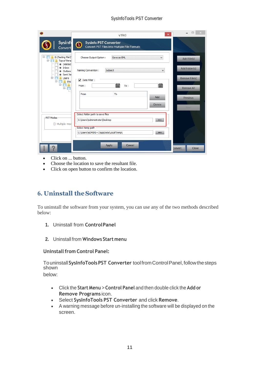#### SysInfoTools PST Converter

|                                                                 | $\boldsymbol{\mathsf{x}}$<br>v <sub>19.0</sub>                                           | $\Box$                              |
|-----------------------------------------------------------------|------------------------------------------------------------------------------------------|-------------------------------------|
| <b>Sysinf</b><br>Convert                                        | <b>Sysinfo PST Converter</b><br>$\Omega$<br>Convert PST Files into Multiple File Formats |                                     |
| ⊟-<br>E: Testing File\T<br>Ė.<br><b>Top of Perso</b><br>Deleted | Save as EML<br>Choose Output Option:<br>v                                                | Add File(s)                         |
| Inbox<br>Outbox<br>Sent Ite                                     | Subject<br>Naming Convention:<br>v                                                       | Add Folder(s)                       |
| e<br><b>Users</b><br>⊟<br>this<br>Ē.<br>ė n                     | Date Filter:<br>▿<br>篇<br>篇<br>To:<br>From:                                              | <b>Remove File(s)</b><br>Remove All |
|                                                                 | From<br>To<br>Add<br>Delete                                                              | <b>Previous</b><br>Next.            |
| -PST Modes<br>Multiple mod                                      | Select folder path to save files<br>C: \Users\Administrator\Desktop<br>                  |                                     |
|                                                                 | Select temp path<br>C:\Users\ADMINI~1\AppData\Local\Temp\<br>                            |                                     |
| $\mathbb{P}$                                                    | Apply<br>Cancel                                                                          | Close<br>Convert                    |

- Click on ... button.
- Choose the location to save the resultant file.
- Click on open button to confirm the location.

# <span id="page-11-0"></span>**6. Uninstall theSoftware**

To uninstall the software from your system, you can use any of the two methods described below:

- **1.** Uninstall from **ControlPanel**
- **2.** Uninstall from **Windows Start menu**

#### **Uninstallfrom Control Panel:**

Touninstall**SysInfoToolsPST Converter** toolfromControlPanel,followthesteps shown

below:

- Click the **Start Menu** > **Control Panel** and then double click the **Add or Remove Programs** icon.
- Select **SysInfoTools PST Converter** and click **Remove**.
- A warning message before un-installing the software will be displayed on the screen.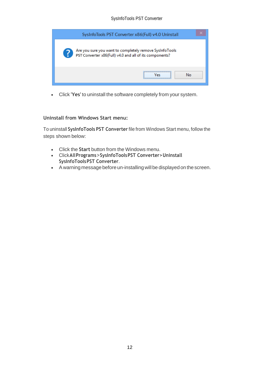| SysInfoTools PST Converter x86(Full) v4.0 Uninstall                                                                |
|--------------------------------------------------------------------------------------------------------------------|
| Are you sure you want to completely remove SysInfoTools<br>PST Converter x86(Full) v4.0 and all of its components? |
| <br>No                                                                                                             |

• Click **'Yes'** to uninstall the software completely from your system.

#### **Uninstall from Windows Start menu:**

To uninstall **SysInfoTools PST Converter** file from Windows Start menu, follow the steps shown below:

- Click the **Start** button from the Windows menu.
- Click**AllPrograms**>**SysInfoToolsPST Converter>Uninstall SysInfoToolsPST Converter**.
- A warning message before un-installingwill be displayed on the screen.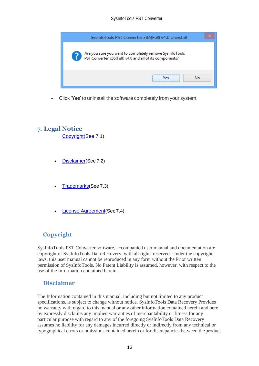

• Click **'Yes'** to uninstall the software completely from your system.

# <span id="page-13-0"></span>**7. Legal Notice**

[Copyright\(](#page-13-1)See 7.1)

- [Disclaimer](#page-13-2)(See 7.2)
- [Trademarks](#page-14-0)(See 7.3)
- [License Agreement](#page-14-1)(See7.4)

# <span id="page-13-1"></span>**Copyright**

SysInfoTools PST Converter software, accompanied user manual and documentation are copyright of SysInfoTools Data Recovery, with all rights reserved. Under the copyright laws, this user manual cannot be reproduced in any form without the Prior written permission of SysInfoTools. No Patent Liability is assumed, however, with respect to the use of the Information contained herein.

## <span id="page-13-2"></span>**Disclaimer**

The Information contained in this manual, including but not limited to any product specifications, is subject to change without notice. SysInfoTools Data Recovery Provides no warranty with regard to this manual or any other information contained herein and here by expressly disclaims any implied warranties of merchantability or fitness for any particular purpose with regard to any of the foregoing SysInfoTools Data Recovery assumes no liability for any damages incurred directly or indirectly from any technical or typographical errors or omissions contained herein or for discrepancies between the product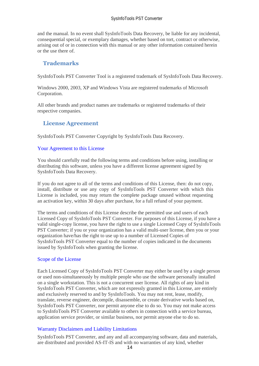and the manual. In no event shall SysInfoTools Data Recovery, be liable for any incidental, consequential special, or exemplary damages, whether based on tort, contract or otherwise, arising out of or in connection with this manual or any other information contained herein or the use there of.

## <span id="page-14-0"></span>**Trademarks**

SysInfoTools PST Converter Tool is a registered trademark of SysInfoTools Data Recovery.

Windows 2000, 2003, XP and Windows Vista are registered trademarks of Microsoft Corporation.

All other brands and product names are trademarks or registered trademarks of their respective companies.

## <span id="page-14-1"></span>**License Agreement**

SysInfoTools PST Converter Copyright by SysInfoTools Data Recovery.

#### Your Agreement to this License

You should carefully read the following terms and conditions before using, installing or distributing this software, unless you have a different license agreement signed by SysInfoTools Data Recovery.

If you do not agree to all of the terms and conditions of this License, then: do not copy, install, distribute or use any copy of SysInfoTools PST Converter with which this License is included, you may return the complete package unused without requesting an activation key, within 30 days after purchase, for a full refund of your payment.

The terms and conditions of this License describe the permitted use and users of each Licensed Copy of SysInfoTools PST Converter. For purposes of this License, if you have a valid single-copy license, you have the right to use a single Licensed Copy of SysInfoTools PST Converter; if you or your organization has a valid multi-user license, then you or your organization have/has the right to use up to a number of Licensed Copies of SysInfoTools PST Converter equal to the number of copies indicated in the documents issued by SysInfoTools when granting the license.

#### Scope of the License

Each Licensed Copy of SysInfoTools PST Converter may either be used by a single person or used non-simultaneously by multiple people who use the software personally installed on a single workstation. This is not a concurrent user license. All rights of any kind in SysInfoTools PST Converter, which are not expressly granted in this License, are entirely and exclusively reserved to and by SysInfoTools. You may not rent, lease, modify, translate, reverse engineer, decompile, disassemble, or create derivative works based on, SysInfoTools PST Converter, nor permit anyone else to do so. You may not make access to SysInfoTools PST Converter available to others in connection with a service bureau, application service provider, or similar business, nor permit anyone else to do so.

#### Warranty Disclaimers and Liability Limitations

SysInfoTools PST Converter, and any and all accompanying software, data and materials, are distributed and provided AS-IT-IS and with no warranties of any kind, whether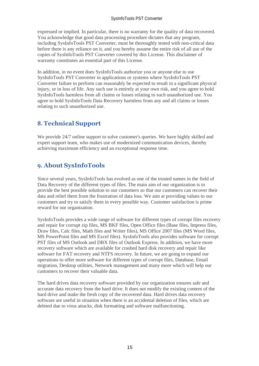#### SysInfoTools PST Converter

expressed or implied. In particular, there is no warranty for the quality of data recovered. You acknowledge that good data processing procedure dictates that any program, including SysInfoTools PST Converter, must be thoroughly tested with non-critical data before there is any reliance on it, and you hereby assume the entire risk of all use of the copies of SysInfoTools PST Converter covered by this License. This disclaimer of warranty constitutes an essential part of this License.

In addition, in no event does SysInfoTools authorize you or anyone else to use SysInfoTools PST Converter in applications or systems where SysInfoTools PST Converter failure to perform can reasonably be expected to result in a significant physical injury, or in loss of life. Any such use is entirely at your own risk, and you agree to hold SysInfoTools harmless from all claims or losses relating to such unauthorized use. You agree to hold SysInfoTools Data Recovery harmless from any and all claims or losses relating to such unauthorized use.

# <span id="page-15-0"></span>**8. Technical Support**

We provide 24/7 online support to solve customer's queries. We have highly skilled and expert support team, who makes use of modernized communication devices, thereby achieving maximum efficiency and an exceptional response time.

# <span id="page-15-1"></span>**9. About SysInfoTools**

Since several years, SysInfoTools has evolved as one of the trusted names in the field of Data Recovery of the different types of files. The main aim of our organization is to provide the best possible solution to our customers so that our customers can recover their data and relief them from the frustration of data loss. We aim at providing values to our customers and try to satisfy them in every possible way. Customer satisfaction is prime reward for our organization.

SysInfoTools provides a wide range of software for different types of corrupt files recovery and repair for corrupt zip files, MS BKF files, Open Office files (Base files, Impress files, Draw files, Calc files, Math files and Writer files), MS Office 2007 files (MS Word files, MS PowerPoint files and MS Excel files). SysInfoTools also provides software for corrupt PST files of MS Outlook and DBX files of Outlook Express. In addition, we have more recovery software which are available for crashed hard disk recovery and repair like software for FAT recovery and NTFS recovery. In future, we are going to expand our operations to offer more software for different types of corrupt files, Database, Email migration, Desktop utilities, Network management and many more which will help our customers to recover their valuable data.

The hard drives data recovery software provided by our organization ensures safe and accurate data recovery from the hard drive. It does not modify the existing content of the hard drive and make the fresh copy of the recovered data. Hard drives data recovery software are useful in situation when there is an accidental deletion of files, which are deleted due to virus attacks, disk formatting and software malfunctioning.